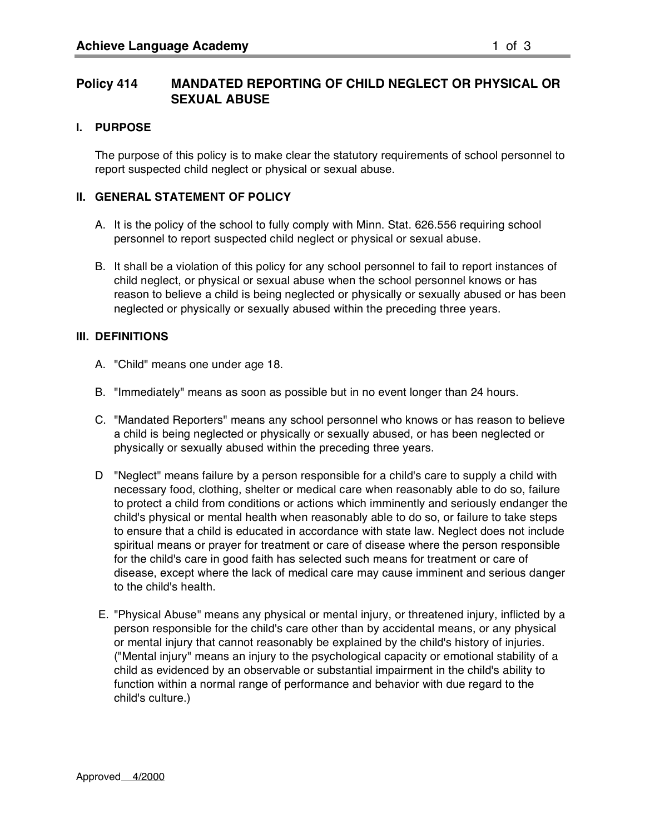# **I. PURPOSE**

The purpose of this policy is to make clear the statutory requirements of school personnel to report suspected child neglect or physical or sexual abuse.

## **II. GENERAL STATEMENT OF POLICY**

- A. It is the policy of the school to fully comply with Minn. Stat. 626.556 requiring school personnel to report suspected child neglect or physical or sexual abuse.
- B. It shall be a violation of this policy for any school personnel to fail to report instances of child neglect, or physical or sexual abuse when the school personnel knows or has reason to believe a child is being neglected or physically or sexually abused or has been neglected or physically or sexually abused within the preceding three years.

## **III. DEFINITIONS**

- A. "Child" means one under age 18.
- B. "Immediately" means as soon as possible but in no event longer than 24 hours.
- C. "Mandated Reporters" means any school personnel who knows or has reason to believe a child is being neglected or physically or sexually abused, or has been neglected or physically or sexually abused within the preceding three years.
- D "Neglect" means failure by a person responsible for a child's care to supply a child with necessary food, clothing, shelter or medical care when reasonably able to do so, failure to protect a child from conditions or actions which imminently and seriously endanger the child's physical or mental health when reasonably able to do so, or failure to take steps to ensure that a child is educated in accordance with state law. Neglect does not include spiritual means or prayer for treatment or care of disease where the person responsible for the child's care in good faith has selected such means for treatment or care of disease, except where the lack of medical care may cause imminent and serious danger to the child's health.
- E. "Physical Abuse" means any physical or mental injury, or threatened injury, inflicted by a person responsible for the child's care other than by accidental means, or any physical or mental injury that cannot reasonably be explained by the child's history of injuries. ("Mental injury" means an injury to the psychological capacity or emotional stability of a child as evidenced by an observable or substantial impairment in the child's ability to function within a normal range of performance and behavior with due regard to the child's culture.)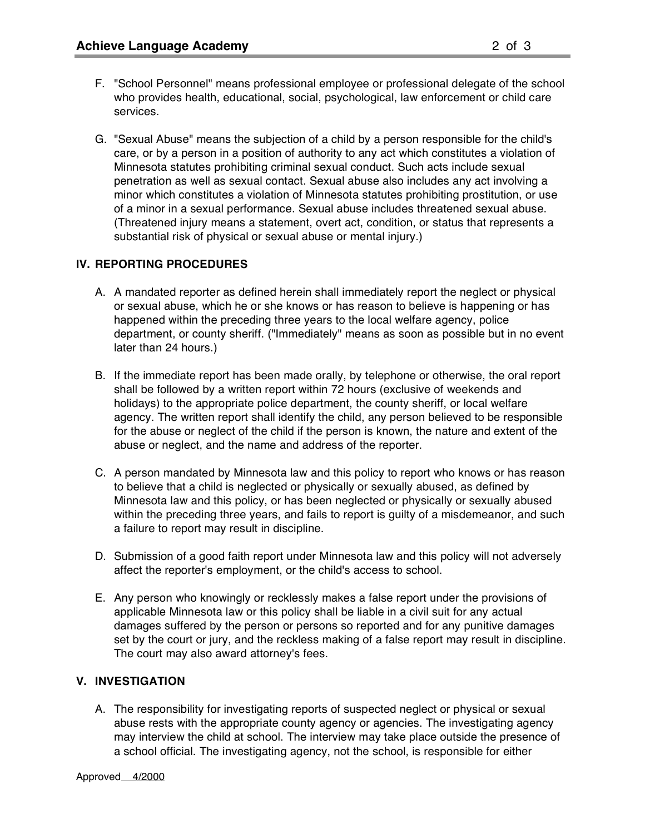- F. "School Personnel" means professional employee or professional delegate of the school who provides health, educational, social, psychological, law enforcement or child care services.
- G. "Sexual Abuse" means the subjection of a child by a person responsible for the child's care, or by a person in a position of authority to any act which constitutes a violation of Minnesota statutes prohibiting criminal sexual conduct. Such acts include sexual penetration as well as sexual contact. Sexual abuse also includes any act involving a minor which constitutes a violation of Minnesota statutes prohibiting prostitution, or use of a minor in a sexual performance. Sexual abuse includes threatened sexual abuse. (Threatened injury means a statement, overt act, condition, or status that represents a substantial risk of physical or sexual abuse or mental injury.)

## **IV. REPORTING PROCEDURES**

- A. A mandated reporter as defined herein shall immediately report the neglect or physical or sexual abuse, which he or she knows or has reason to believe is happening or has happened within the preceding three years to the local welfare agency, police department, or county sheriff. ("Immediately" means as soon as possible but in no event later than 24 hours.)
- B. If the immediate report has been made orally, by telephone or otherwise, the oral report shall be followed by a written report within 72 hours (exclusive of weekends and holidays) to the appropriate police department, the county sheriff, or local welfare agency. The written report shall identify the child, any person believed to be responsible for the abuse or neglect of the child if the person is known, the nature and extent of the abuse or neglect, and the name and address of the reporter.
- C. A person mandated by Minnesota law and this policy to report who knows or has reason to believe that a child is neglected or physically or sexually abused, as defined by Minnesota law and this policy, or has been neglected or physically or sexually abused within the preceding three years, and fails to report is guilty of a misdemeanor, and such a failure to report may result in discipline.
- D. Submission of a good faith report under Minnesota law and this policy will not adversely affect the reporter's employment, or the child's access to school.
- E. Any person who knowingly or recklessly makes a false report under the provisions of applicable Minnesota law or this policy shall be liable in a civil suit for any actual damages suffered by the person or persons so reported and for any punitive damages set by the court or jury, and the reckless making of a false report may result in discipline. The court may also award attorney's fees.

## **V. INVESTIGATION**

A. The responsibility for investigating reports of suspected neglect or physical or sexual abuse rests with the appropriate county agency or agencies. The investigating agency may interview the child at school. The interview may take place outside the presence of a school official. The investigating agency, not the school, is responsible for either